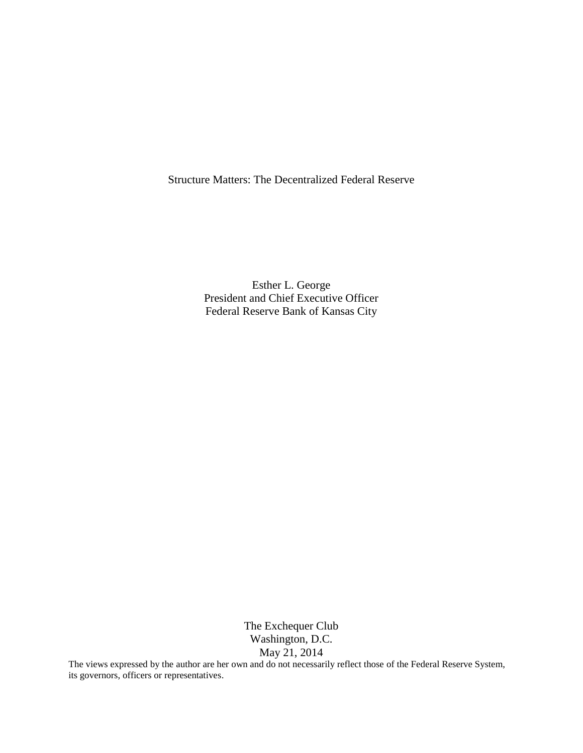Structure Matters: The Decentralized Federal Reserve

Esther L. George President and Chief Executive Officer Federal Reserve Bank of Kansas City

> The Exchequer Club Washington, D.C. May 21, 2014

The views expressed by the author are her own and do not necessarily reflect those of the Federal Reserve System, its governors, officers or representatives.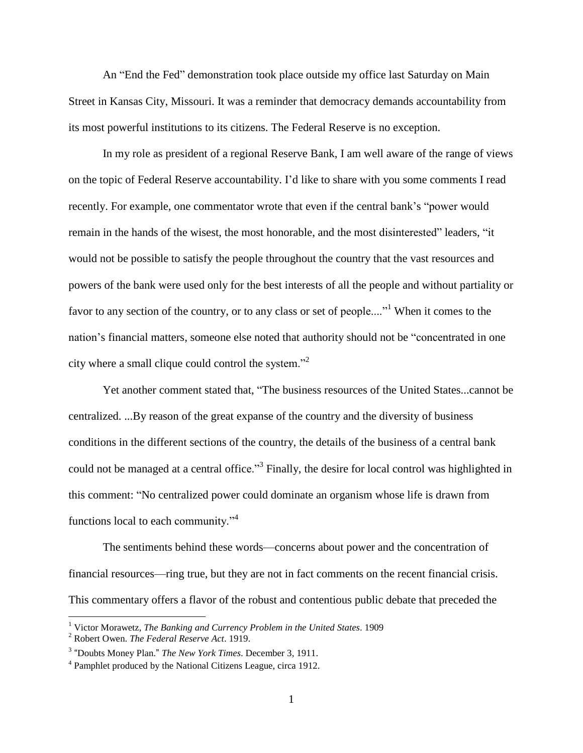An "End the Fed" demonstration took place outside my office last Saturday on Main Street in Kansas City, Missouri. It was a reminder that democracy demands accountability from its most powerful institutions to its citizens. The Federal Reserve is no exception.

In my role as president of a regional Reserve Bank, I am well aware of the range of views on the topic of Federal Reserve accountability. I'd like to share with you some comments I read recently. For example, one commentator wrote that even if the central bank's "power would remain in the hands of the wisest, the most honorable, and the most disinterested" leaders, "it would not be possible to satisfy the people throughout the country that the vast resources and powers of the bank were used only for the best interests of all the people and without partiality or favor to any section of the country, or to any class or set of people...."<sup>1</sup> When it comes to the nation's financial matters, someone else noted that authority should not be "concentrated in one city where a small clique could control the system."<sup>2</sup>

Yet another comment stated that, "The business resources of the United States...cannot be centralized. ...By reason of the great expanse of the country and the diversity of business conditions in the different sections of the country, the details of the business of a central bank could not be managed at a central office."<sup>3</sup> Finally, the desire for local control was highlighted in this comment: "No centralized power could dominate an organism whose life is drawn from functions local to each community."<sup>4</sup>

The sentiments behind these words—concerns about power and the concentration of financial resources—ring true, but they are not in fact comments on the recent financial crisis. This commentary offers a flavor of the robust and contentious public debate that preceded the

 $\overline{a}$ 

<sup>1</sup> Victor Morawetz, *The Banking and Currency Problem in the United States*. 1909

<sup>2</sup> Robert Owen. *The Federal Reserve Act*. 1919.

<sup>3</sup> "Doubts Money Plan." *The New York Times*. December 3, 1911.

<sup>&</sup>lt;sup>4</sup> Pamphlet produced by the National Citizens League, circa 1912.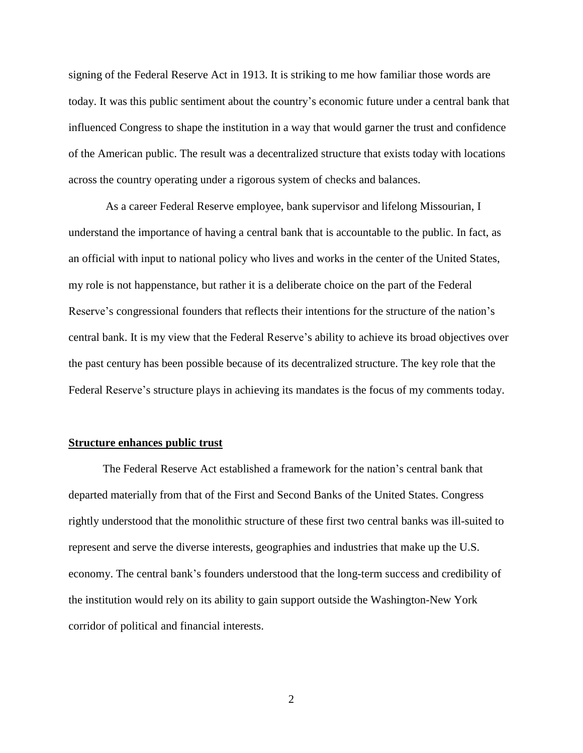signing of the Federal Reserve Act in 1913. It is striking to me how familiar those words are today. It was this public sentiment about the country's economic future under a central bank that influenced Congress to shape the institution in a way that would garner the trust and confidence of the American public. The result was a decentralized structure that exists today with locations across the country operating under a rigorous system of checks and balances.

As a career Federal Reserve employee, bank supervisor and lifelong Missourian, I understand the importance of having a central bank that is accountable to the public. In fact, as an official with input to national policy who lives and works in the center of the United States, my role is not happenstance, but rather it is a deliberate choice on the part of the Federal Reserve's congressional founders that reflects their intentions for the structure of the nation's central bank. It is my view that the Federal Reserve's ability to achieve its broad objectives over the past century has been possible because of its decentralized structure. The key role that the Federal Reserve's structure plays in achieving its mandates is the focus of my comments today.

## **Structure enhances public trust**

The Federal Reserve Act established a framework for the nation's central bank that departed materially from that of the First and Second Banks of the United States. Congress rightly understood that the monolithic structure of these first two central banks was ill-suited to represent and serve the diverse interests, geographies and industries that make up the U.S. economy. The central bank's founders understood that the long-term success and credibility of the institution would rely on its ability to gain support outside the Washington-New York corridor of political and financial interests.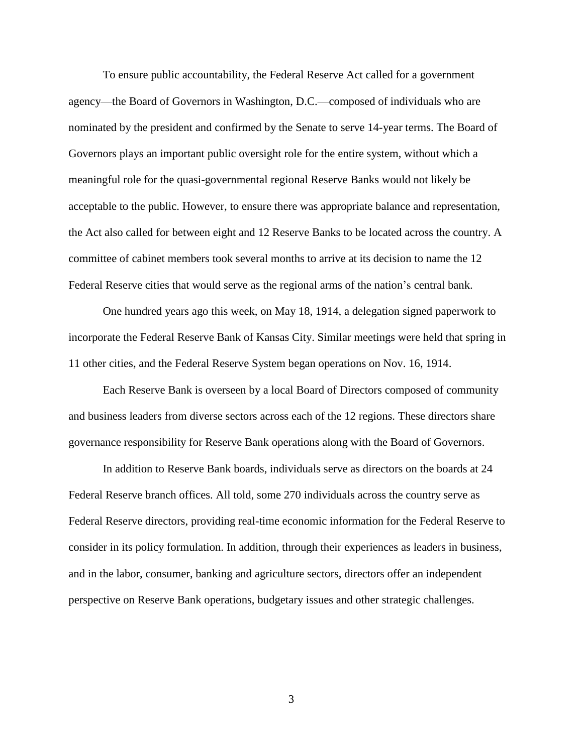To ensure public accountability, the Federal Reserve Act called for a government agency—the Board of Governors in Washington, D.C.—composed of individuals who are nominated by the president and confirmed by the Senate to serve 14-year terms. The Board of Governors plays an important public oversight role for the entire system, without which a meaningful role for the quasi-governmental regional Reserve Banks would not likely be acceptable to the public. However, to ensure there was appropriate balance and representation, the Act also called for between eight and 12 Reserve Banks to be located across the country. A committee of cabinet members took several months to arrive at its decision to name the 12 Federal Reserve cities that would serve as the regional arms of the nation's central bank.

One hundred years ago this week, on May 18, 1914, a delegation signed paperwork to incorporate the Federal Reserve Bank of Kansas City. Similar meetings were held that spring in 11 other cities, and the Federal Reserve System began operations on Nov. 16, 1914.

Each Reserve Bank is overseen by a local Board of Directors composed of community and business leaders from diverse sectors across each of the 12 regions. These directors share governance responsibility for Reserve Bank operations along with the Board of Governors.

In addition to Reserve Bank boards, individuals serve as directors on the boards at 24 Federal Reserve branch offices. All told, some 270 individuals across the country serve as Federal Reserve directors, providing real-time economic information for the Federal Reserve to consider in its policy formulation. In addition, through their experiences as leaders in business, and in the labor, consumer, banking and agriculture sectors, directors offer an independent perspective on Reserve Bank operations, budgetary issues and other strategic challenges.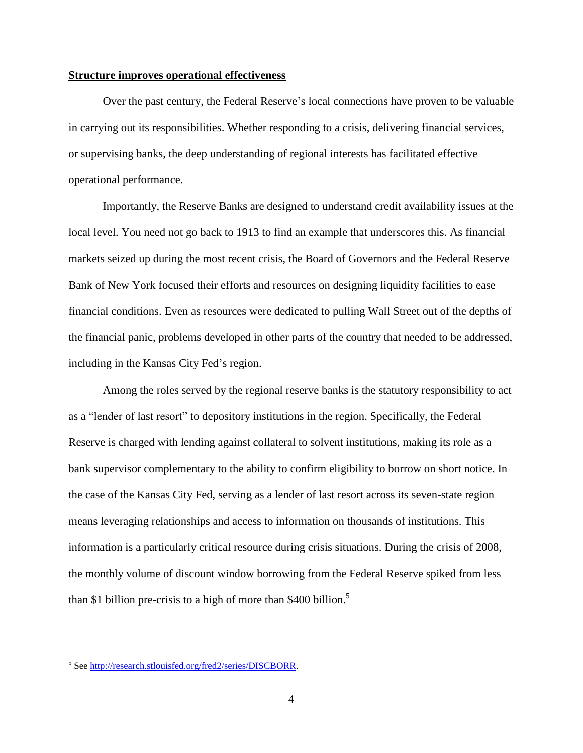## **Structure improves operational effectiveness**

Over the past century, the Federal Reserve's local connections have proven to be valuable in carrying out its responsibilities. Whether responding to a crisis, delivering financial services, or supervising banks, the deep understanding of regional interests has facilitated effective operational performance.

Importantly, the Reserve Banks are designed to understand credit availability issues at the local level. You need not go back to 1913 to find an example that underscores this. As financial markets seized up during the most recent crisis, the Board of Governors and the Federal Reserve Bank of New York focused their efforts and resources on designing liquidity facilities to ease financial conditions. Even as resources were dedicated to pulling Wall Street out of the depths of the financial panic, problems developed in other parts of the country that needed to be addressed, including in the Kansas City Fed's region.

Among the roles served by the regional reserve banks is the statutory responsibility to act as a "lender of last resort" to depository institutions in the region. Specifically, the Federal Reserve is charged with lending against collateral to solvent institutions, making its role as a bank supervisor complementary to the ability to confirm eligibility to borrow on short notice. In the case of the Kansas City Fed, serving as a lender of last resort across its seven-state region means leveraging relationships and access to information on thousands of institutions. This information is a particularly critical resource during crisis situations. During the crisis of 2008, the monthly volume of discount window borrowing from the Federal Reserve spiked from less than \$1 billion pre-crisis to a high of more than  $$400$  billion.<sup>5</sup>

 5 See [http://research.stlouisfed.org/fred2/series/DISCBORR.](http://research.stlouisfed.org/fred2/series/DISCBORR)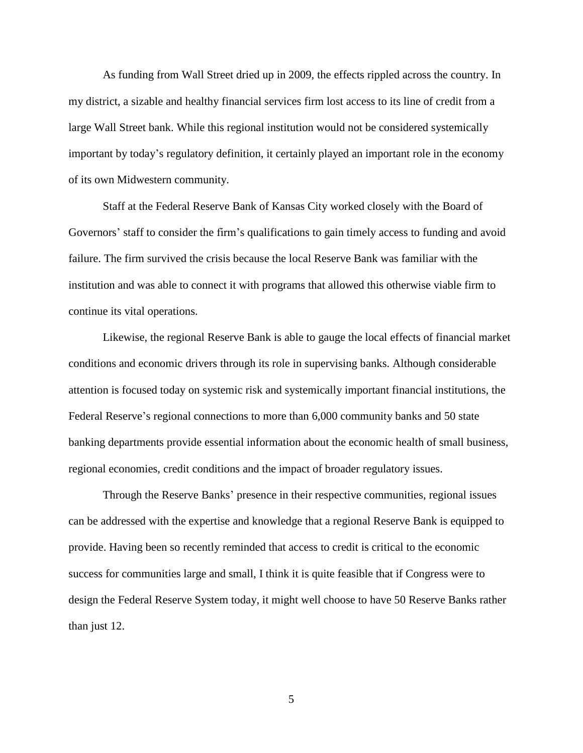As funding from Wall Street dried up in 2009, the effects rippled across the country. In my district, a sizable and healthy financial services firm lost access to its line of credit from a large Wall Street bank. While this regional institution would not be considered systemically important by today's regulatory definition, it certainly played an important role in the economy of its own Midwestern community.

Staff at the Federal Reserve Bank of Kansas City worked closely with the Board of Governors' staff to consider the firm's qualifications to gain timely access to funding and avoid failure. The firm survived the crisis because the local Reserve Bank was familiar with the institution and was able to connect it with programs that allowed this otherwise viable firm to continue its vital operations.

Likewise, the regional Reserve Bank is able to gauge the local effects of financial market conditions and economic drivers through its role in supervising banks. Although considerable attention is focused today on systemic risk and systemically important financial institutions, the Federal Reserve's regional connections to more than 6,000 community banks and 50 state banking departments provide essential information about the economic health of small business, regional economies, credit conditions and the impact of broader regulatory issues.

Through the Reserve Banks' presence in their respective communities, regional issues can be addressed with the expertise and knowledge that a regional Reserve Bank is equipped to provide. Having been so recently reminded that access to credit is critical to the economic success for communities large and small, I think it is quite feasible that if Congress were to design the Federal Reserve System today, it might well choose to have 50 Reserve Banks rather than just 12.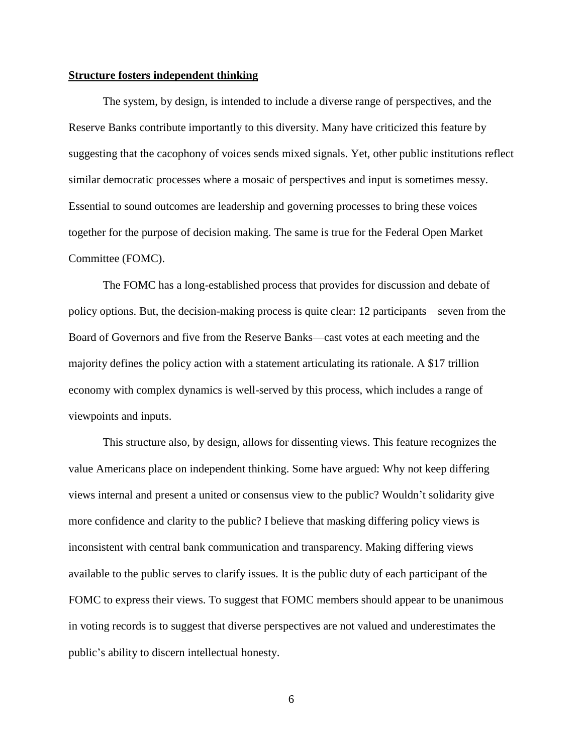## **Structure fosters independent thinking**

The system, by design, is intended to include a diverse range of perspectives, and the Reserve Banks contribute importantly to this diversity. Many have criticized this feature by suggesting that the cacophony of voices sends mixed signals. Yet, other public institutions reflect similar democratic processes where a mosaic of perspectives and input is sometimes messy. Essential to sound outcomes are leadership and governing processes to bring these voices together for the purpose of decision making. The same is true for the Federal Open Market Committee (FOMC).

The FOMC has a long-established process that provides for discussion and debate of policy options. But, the decision-making process is quite clear: 12 participants—seven from the Board of Governors and five from the Reserve Banks—cast votes at each meeting and the majority defines the policy action with a statement articulating its rationale. A \$17 trillion economy with complex dynamics is well-served by this process, which includes a range of viewpoints and inputs.

This structure also, by design, allows for dissenting views. This feature recognizes the value Americans place on independent thinking. Some have argued: Why not keep differing views internal and present a united or consensus view to the public? Wouldn't solidarity give more confidence and clarity to the public? I believe that masking differing policy views is inconsistent with central bank communication and transparency. Making differing views available to the public serves to clarify issues. It is the public duty of each participant of the FOMC to express their views. To suggest that FOMC members should appear to be unanimous in voting records is to suggest that diverse perspectives are not valued and underestimates the public's ability to discern intellectual honesty.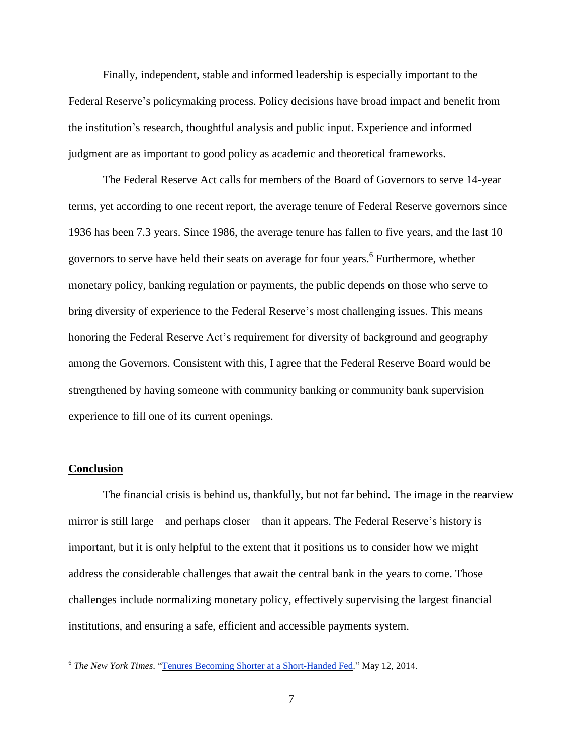Finally, independent, stable and informed leadership is especially important to the Federal Reserve's policymaking process. Policy decisions have broad impact and benefit from the institution's research, thoughtful analysis and public input. Experience and informed judgment are as important to good policy as academic and theoretical frameworks.

The Federal Reserve Act calls for members of the Board of Governors to serve 14-year terms, yet according to one recent report, the average tenure of Federal Reserve governors since 1936 has been 7.3 years. Since 1986, the average tenure has fallen to five years, and the last 10 governors to serve have held their seats on average for four years.<sup>6</sup> Furthermore, whether monetary policy, banking regulation or payments, the public depends on those who serve to bring diversity of experience to the Federal Reserve's most challenging issues. This means honoring the Federal Reserve Act's requirement for diversity of background and geography among the Governors. Consistent with this, I agree that the Federal Reserve Board would be strengthened by having someone with community banking or community bank supervision experience to fill one of its current openings.

## **Conclusion**

The financial crisis is behind us, thankfully, but not far behind. The image in the rearview mirror is still large—and perhaps closer—than it appears. The Federal Reserve's history is important, but it is only helpful to the extent that it positions us to consider how we might address the considerable challenges that await the central bank in the years to come. Those challenges include normalizing monetary policy, effectively supervising the largest financial institutions, and ensuring a safe, efficient and accessible payments system.

 6 *The New York Times*. "Tenures Becoming Shorter at a [Short-Handed](http://www.nytimes.com/2014/05/13/upshot/tenures-becoming-shorter-at-a-short-handed-fed.html) Fed." May 12, 2014.